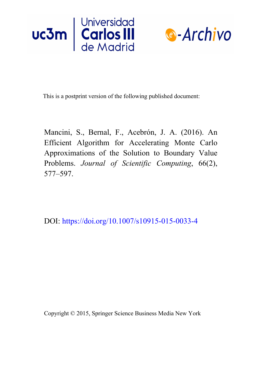



This is a postprint version of the following published document:

Mancini, S., Bernal, F., Acebrón, J. A. (2016). An Efficient Algorithm for Accelerating Monte Carlo Approximations of the Solution to Boundary Value Problems. *Journal of Scientific Computing*, 66(2), 577–597.

DOI: <https://doi.org/10.1007/s10915-015-0033-4>

Copyright © 2015, Springer Science Business Media New York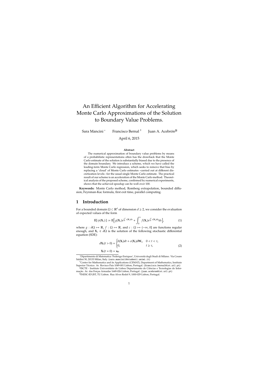# An Efficient Algorithm for Accelerating Monte Carlo Approximations of the Solution to Boundary Value Problems.

Sara Mancini <sup>∗</sup> Francisco Bernal †

Juan A. Acebrón‡§

April 6, 2015

#### **Abstract**

The numerical approximation of boundary value problems by means of a probabilistic representations often has the drawback that the Monte Carlo estimate of the solution is substantially biased due to the presence of the domain boundary. We introduce a scheme, which we have called the leading-term Monte Carlo regression, which seeks to remove that bias by replacing a 'cloud' of Monte Carlo estimates –carried out at different discretization levels– for the usual single Monte Carlo estimate. The practical result of our scheme is an acceleration of the Monte Carlo method. Theoretical analysis of the proposed scheme, confirmed by numerical experiments, shows that the achieved speedup can be well over 100.

**Keywords:** Monte Carlo method, Romberg extrapolation, bounded diffusion, Feynman-Kac formula, first exit time, parallel computing.

### **1 Introduction**

For a bounded domain Ω ⊂ R*<sup>d</sup>* of dimension *d* ≥ 2, we consider the evaluation of expected values of the form

$$
\mathbb{E}[\phi(\mathbf{X}_{\tau})] := \mathbb{E}\Big[\,g(\mathbf{X}_{\tau})e^{\int_0^{\tau}c(\mathbf{X}_s)ds} + \int_0^{\tau}f(\mathbf{X}_s)e^{\int_0^s c(\mathbf{X}_q)dq}ds\,\Big],\tag{1}
$$

where  $g : \partial\Omega \mapsto \mathbb{R}$ ,  $f : \Omega \mapsto \mathbb{R}$ , and  $c : \Omega \mapsto (-\infty, 0]$  are functions regular enough, and  $X_{\tau} \in \partial \Omega$  is the solution of the following stochastic differential equation (SDE):

$$
d\mathbf{X}_t(t>0) = \begin{cases} b(\mathbf{X}_t)dt + \sigma(\mathbf{X}_t)d\mathbf{W}_t, & 0 < t < \tau, \\ 0, & t \ge \tau, \end{cases}
$$
  

$$
\mathbf{X}_t(t=0) = \mathbf{x}_0.
$$
 (2)

<sup>∗</sup>Dipartimento di Matematica 'Federigo Enriques', Università degli Studi di Milano. Via Cesare Saldini 50, 20133 Milan, Italy. (sara.mancini1@studenti.unimi.it)

<sup>†</sup>Center for Mathematics and its Applications (CEMAT), Department of Mathematics, Instituto Superior Técnico. Av. Rovisco Pais 1049-001 Lisbon, Portugal. (francisco.bernal@ist.utl.pt)

<sup>‡</sup> ISCTE - Instituto Universitário de Lisboa Departamento de Ciências e Tecnologias de Informação. Av. das Forças Armadas 1649-026 Lisbon, Portugal. (juan.acebron@ist.utl.pt)

<sup>§</sup> INESC-ID\IST, TU Lisbon. Rua Alves Redol 9, 1000-029 Lisbon, Portugal.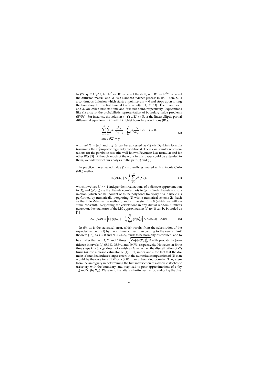In (2),  $x_0 \in \Omega \backslash \partial \Omega$ ,  $b : \mathbb{R}^d \mapsto \mathbb{R}^d$  is called the drift,  $\sigma : \mathbb{R}^d \mapsto \mathbb{R}^{d \times d}$  is called the diffusion matrix, and  $W_t$  is a standard Wiener process in  $\mathbb{R}^d$ . Then,  $X_t$  is a continuous diffusion which starts at point  $x_0$  at  $t = 0$  and stops upon hitting the boundary for the first time at  $t = \tau := \inf\{s : \mathbf{X}_s \in \partial\Omega\}$ . The quantities  $\tau$ and  $X<sub>\tau</sub>$  are called first-exit time and first-exit point, respectively. Expectations like (1) arise in the probabilistic representation of boundary value problems (BVPs). For instance, the solution  $u : \Omega \subset \mathbb{R}^d \mapsto \mathbb{R}$  of the linear elliptic partial differential equation (PDE) with Dirichlet boundary conditions (BCs)

$$
\sum_{i=1}^{d} \sum_{j=1}^{d} a_{ij} \frac{\partial^2 u}{\partial x_i \partial x_j} + \sum_{k=1}^{d} b_k \frac{\partial u}{\partial x_k} + cu + f = 0,
$$
  
\n
$$
u(\mathbf{x} \in \partial \Omega) = g,
$$
\n(3)

with  $\sigma \sigma^T/2 = [a_{ij}]$  and  $c \leq 0$ , can be expressed as (1) via Dynkin's formula (assuming the appropriate regularity conditions). There exist similar representations for the parabolic case (the well-known Feynman-Kac formula) and for other BCs [5]. Although much of the work in this paper could be extended to them, we will restrict our analysis to the pair (1) and (3).

In practice, the expected value (1) is usually estimated with a Monte Carlo (MC) method:

$$
\mathbb{E}[\phi(\mathbf{X}_{\tau})] \approx \frac{1}{N} \sum_{j=1}^{N} \phi^{h}(\mathbf{X}_{\tau_{h}}^{j}), \qquad (4)
$$

which involves  $N \gg 1$  independent realizations of a discrete approximation to (2), and ( $\phi^h$ , τ<sub>*h*</sub>) are the discrete counterparts to ( $\phi$ , τ). Such discrete approximation (which can be thought of as the polygonal trajectory of a 'particle') is performed by numerically integrating (2) with a numerical scheme Ξ*<sup>h</sup>* (such as the Euler-Maruyama method), and a time step *h* > 0 (which we will assume constant). Neglecting the correlations in any digital random numbers generator, the total error of the MC approximation (4) to (1) can be bounded as [1]

$$
\epsilon_{\mathrm{MC}}(N,h) := \left| \mathbb{E}[\phi(\mathbf{X}_{\tau})] - \frac{1}{N} \sum_{j=1}^{N} \phi^{h}(\mathbf{X}_{\tau_{h}}^{j}) \right| \leq \epsilon_{N}(N,h) + \epsilon_{h}(h). \tag{5}
$$

In (5),  $\epsilon_N$  is the statistical error, which results from the substitution of the expected value in (1) by the arithmetic mean. According to the central limit theorem [15], as  $h \to 0$  and  $N \to \infty$ ,  $\epsilon_N$  tends to be normally distributed, and to be smaller than  $q = 1$ , 2, and 3 times  $\sqrt{\text{Var}(\phi^h(\mathbf{X}_{\tau_h}))/N}$  with probability (confidence intervals Γ*q*) 68.3%, 95.5%, and 99.7%, respectively. However, at finite time steps  $h > 0$ ,  $\epsilon_{MC}$  does not vanish as  $N \to \infty$ , i.e. the discretization of (2) turns (4) into a biased estimator of (1). But, importantly, the fact that the domain is bounded induces larger errors in the numerical computation of (2) than would be the case for a PDE or a SDE in an unbounded domain. They stem from the ambiguity in determining the first intersection of a discrete stochastic trajectory with the boundary, and may lead to poor approximations of  $τ$  (by  $\tau_h$ ) and  $\mathbf{X}_{\tau}$  (by  $\mathbf{X}_{\tau_h}$ ). We refer to the latter as the first-exit error, and call  $\epsilon_h$  the bias.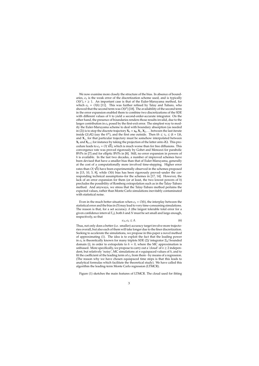We now examine more closely the structure of the bias. In absence of boundaries,  $\epsilon_h$  is the weak error of the discretization scheme used, and is typically  $O(h^r)$ ,  $r \geq 1$ . An important case is that of the Euler-Maruyama method, for which  $\epsilon_h$  =  $O(h)$  [11]. This was further refined by Talay and Tubaro, who showed that the second term was  $O(h^2)$  [18]. The availability of the second term in the error expansion enabled them to combine two discretizations of the SDE with different values of *h* to yield a second-order-accurate integrator. On the other hand, the presence of boundaries renders those results invalid, due to the larger contribution in  $\epsilon_h$  posed by the first-exit error. The simplest way to modify the Euler-Maruyama scheme to deal with boundary absorption (as needed in (2)) is to stop the discrete trajectory  $X_0 = x_0, X_1, X_2, \ldots$  between the last iterate inside  $\Omega \setminus \partial \Omega$  (say the *k<sup>th</sup>*), and the first one outside. Then  $kh \leq \tau_h \leq (k+1)h$ , and **X**<sup>τ</sup>*<sup>h</sup>* for that particular trajectory must be somehow interpolated between **X***<sup>k</sup>* and **X***<sup>k</sup>*+1; for instance by taking the projection of the latter onto ∂Ω. This pro-√ cedure leads to  $\epsilon_h = O(\sqrt{h})$ , which is much worse than for free diffusions. This convergence rate was proved rigorously by Gobet and Menozzi for parabolic BVPs in [7] and for elliptic BVPs in [8]. Still, no error expansion in powers of *h* is available. In the last two decades, a number of improved schemes have been devised that have a smaller bias than that of Euler-Maruyama, generally at the cost of a computationally more involved time-stepping. Higher error √ rates than *O*( *h*) have been experimentally observed in the schemes proposed in [13, 10, 3, 8], while *O*(*h*) bias has been rigorously proved–under the corresponding technical assumptions–for the schemes in [17, 14]. However, the lack of an error expansion for them (or at least, the two lowest powers of *h*) precludes the possibility of Romberg extrapolation such as in the Talay-Tubaro method. And anyways, we stress that the Talay-Tubaro method pertains the expected values, rather than Monte Carlo simulations inevitably contaminated with statistical noise.

Even in the much better situation when  $\epsilon_h = O(h)$ , the interplay between the statistical error and the bias in (5) may lead to very time-consuming simulations. The reason is that, for a set accuracy *A* (the largest tolerable total error for a given confidence interval Γ*q*), both *h* and *N* must be set small and large enough, respectively, so that

$$
\epsilon_N, \epsilon_h \le A. \tag{6}
$$

Thus, not only does a better (i.e. smaller) accuracy target involve more trajectories overall, but also each of them will take longer due to the finer discretization. Seeking to accelerate the simulations, we propose in this paper a novel method of approximating (1). The idea is to exploit the fact that the leading power in  $\epsilon_h$  is theoretically known for many triplets SDE (2)/ integrator  $\Xi_h$ / bounded domain Ω, in order to extrapolate to *h* = 0, where the MC approximation is unbiased. More specifically, we propose to carry out a 'cloud' of  $n \geq 2$  independent, but relatively 'noisy', MC simulations at *n* equispaced values of *h*, and to fit the coefficient of the leading term of  $\epsilon_h$  from them - by means of a regression. (The reason why we have chosen equispaced time steps is that this leads to analytical formulas which facilitate the theoretical study). We have called this algorithm the leading-term Monte Carlo regression (LTMCR).

Figure (1) sketches the main features of LTMCR. The cloud used for fitting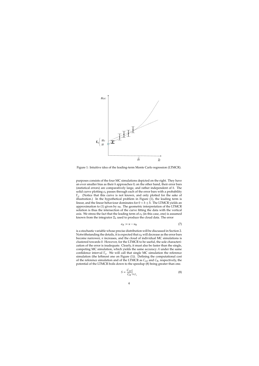

Figure 1: Intuitive idea of the leading-term Monte Carlo regression (LTMCR).

purposes consists of the four MC simulations depicted on the right. They have an ever smaller bias as their *h* approaches 0; on the other hand, their error bars (statistical errors) are comparatively large, and rather independent of *h*. The solid curve plotting  $\epsilon_h$  passes through each of the error bars with a probability Γ*q*. (Notice that this curve is not known, and only plotted for the sake of illustration.) In the hypothetical problem in Figure (1), the leading term is linear, and the linear behaviour dominates for  $0 < h \leq h$ . The LTMCR yields an approximation to  $(1)$  given by  $u<sub>R</sub>$ . The geometric interpretation of the LTMCR solution is thus the intersection of the curve fitting the data with the vertical axis. We stress the fact that the leading term of  $\epsilon_h$  (in this case, one) is assumed known from the integrator Ξ*<sup>h</sup>* used to produce the cloud data. The error

$$
\epsilon_{\mathcal{R}} := u - u_{\mathcal{R}} \tag{7}
$$

is a stochastic variable whose precise distribution will be discussed in Section 2. Notwithstanding the details, it is expected that  $\epsilon_R$  will decrease as the error bars become narrower, *n* increases, and the cloud of individual MC simulations is clustered towards 0. However, for the LTMCR to be useful, the sole characterization of the error is inadequate. Clearly, it must also be faster than the single, competing MC simulation, which yields the same accuracy *A* under the same confidence interval Γ*q*. We will call that single MC simulation the reference simulation (the leftmost one on Figure (1)). Defining the computational cost of the reference simulation and of the LTMCR as *C*ref and *C*R, respectively, the potential of the LTMCR boils down to the speedup (8) being greater than one.

$$
S = \frac{C_{\text{ref}}}{C_{\text{R}}} \Big|_{A,\Gamma_q} \tag{8}
$$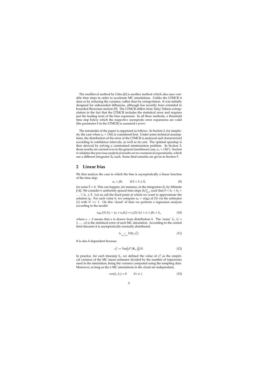The multilevel method by Giles [6] is another method which also uses variable time steps in order to accelerate MC simulations. Unlike the LTMCR it does so by reducing the variance, rather than by extrapolation. It was initially designed for unbounded diffusions, although has recently been extended to bounded Brownian motion [9]. The LTMCR differs from Talay-Tubaro extrapolation in the fact that the LTMCR includes the statistical error and requires just the leading term of the bias expansion. In all three methods, a threshold time step below which the respective asymptotic error expansions are valid (the parameter  $\bar{h}$  in the LTMCR) is assumed *a priori*.

The remainder of the paper is organized as follows. In Section 2, for simplicity, the case when  $\epsilon_h = O(h)$  is considered first. Under some technical assumptions, the distribution of the error of the LTMCR is analyzed and characterized according to confidence intervals, as well as its cost. The optimal speedup is then derived by solving a constrained minimization problem. In Section 3, those results are carried over to the general (nonlinear) case,  $\epsilon_h = O(h^r)$ . Section 4 validates the previous analytical results on two numerical experiments, which use a different integrator Ξ*<sup>h</sup>* each. Some final remarks are given in Section 5.

#### **2 Linear bias**

We first analyze the case in which the bias is asymptotically a linear function of the time step:

$$
\epsilon_h = \beta h, \qquad \text{if } 0 < h \leq \bar{h}, \tag{9}
$$

for some  $\bar{h} > 0$ . This can happen, for instance, in the integrators  $\Xi_h$  by Milstein [14]. We consider *n* uniformly spaced time steps  $\{h_i\}_{i=1}^n$ , such that  $0 < h_1 < h_2 <$ ...  $\lt h_n \leq \bar{h}$ . Let us call the fixed point at which we want to approximate the solution  $x_0$ . For each value  $h_i$  we compute  $u_0 = u(x_0)$  of (3) via the estimator (1) with  $N \gg 1$ . On this 'cloud' of data we perform a regression analysis according to the model:

$$
u_{\text{MC}}(N, h_i) \sim u_0 + \epsilon_h(h_i) + \epsilon_N(N, h_i) = \alpha + \beta h_i + \delta_i,
$$
\n(10)

where  $a \sim b$  means that  $a$  is drawn from distribution  $b$ . The 'noise'  $\delta_i$ , ( $i =$ 1, ..., *n*) is the statistical error of each MC simulation. According to the central limit theorem it is asymptotically normally distributed:

$$
\delta_i \underset{N \to \infty}{\sim} N(0, \sigma_i^2). \tag{11}
$$

It is also *h*-dependent because

$$
\sigma_i^2 := \text{Var}\big(\phi^{h_i}(\mathbf{X}_{\tau_h})\big)/N. \tag{12}
$$

In practice, for each timestep  $h_i$ , we defined the value of  $\sigma_i^2$  as the empirical variance of the MC mean estimator divided by the number of trajectories used in the simulation, being the variance computed using the sampling data. Moreover, as long as the *n* MC simulations in the cloud are independent,

$$
cov(\delta_i, \delta_j) = 0 \qquad \text{if } i \neq j. \tag{13}
$$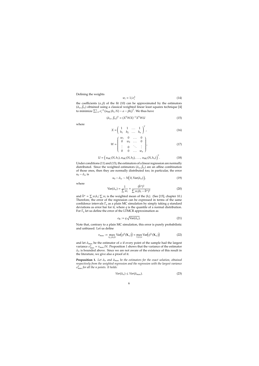Defining the weights

$$
w_i = 1/\sigma_i^2 \tag{14}
$$

the coefficients  $(\alpha, \beta)$  of the fit (10) can be approximated by the estimators  $(\hat{\alpha}_w,\hat{\beta}_w)$  obtained using a classical weighted linear least squares technique [4] to minimize  $\sum_{i=1}^{n} \sigma_i^{-2} (u_{\text{MC}}(h_i, N) - \alpha - \beta h_i)^2$ . We thus have

$$
(\hat{\alpha}_w, \hat{\beta}_w)^{\mathrm{T}} = (\mathbf{X}^{\mathrm{T}} \mathbf{W} \mathbf{X})^{-1} \mathbf{X}^{\mathrm{T}} \mathbf{W} \mathbf{U}
$$
\n<sup>(15)</sup>

where

$$
X = \left(\begin{array}{cccc} 1 & 1 & \dots & 1 \\ h_1 & h_2 & \dots & h_n \end{array}\right)^T, \tag{16}
$$

$$
W = \left(\begin{array}{cccc} w_1 & 0 & \dots & 0 \\ 0 & w_2 & \dots & 0 \\ \vdots & 0 & \ddots & \vdots \\ 0 & 0 & \dots & w_n \end{array}\right), \tag{17}
$$

$$
U = (u_{\text{MC}}(N, h_1), u_{\text{MC}}(N, h_2), \dots, u_{\text{MC}}(N, h_n))^{T}.
$$
 (18)

Under conditions (11) and (13), the estimators of a linear regression are normally distributed. Since the weighted estimators  $(\hat{\alpha}_w, \hat{\beta}_w)$  are an affine combination of those ones, then they are normally distributed too; in particular, the error  $u_0 - \hat{\alpha}_w$  is

$$
u_0 - \hat{\alpha}_w \sim N\big(0, \text{Var}(\hat{\alpha}_w)\big),\tag{19}
$$

where

$$
\text{Var}(\hat{\alpha}_w) = \frac{1}{\sum w_i} + \frac{(\bar{h}^w)^2}{\sum w_i (h_i - \bar{h}^w)^2}
$$
(20)

and  $\bar{h}^w = \sum w_i h_i / \sum w_i$  is the weighted mean of the  $\{h_i\}$ . (See [15], chapter 10.) Therefore, the error of the regression can be expressed in terms of the same confidence intervals Γ*<sup>q</sup>* as a plain MC simulation by simply taking *q* standard deviations as error bar for it, where *q* is the quantile of a normal distribution. For Γ*<sup>q</sup>* let us define the error of the LTMCR approximation as

$$
\epsilon_{\mathcal{R}} := q \sqrt{\text{Var}(\hat{\alpha}_w)}.
$$
 (21)

Note that, contrary to a plain MC simulation, this error is purely probabilistic and unbiased. Let us define

$$
v_{\max} := \max_{h_1 \leq h \leq \bar{h}} \text{Var}\big(\phi^h(\mathbf{X}_{\tau_h})\big) \approx \max_{1 \leq i \leq n} \text{Var}\big(\phi^{h_i}(\mathbf{X}_{\tau_h})\big) \tag{22}
$$

and let  $\hat{\alpha}_{\text{max}}$  be the estimator of  $\alpha$  if every point of the sample had the largest variance  $\sigma_{\text{max}}^2 = v_{\text{max}}/N$ . Proposition 1 shows that the variance of the estimator  $\hat{\alpha}_w$  is bounded above. Since we are not aware of the existence of this result in the literature, we give also a proof of it.

**Proposition 1.** Let  $\hat{\alpha}_w$  and  $\hat{\alpha}_{\text{max}}$  be the estimators for the exact solution, obtained *respectively from the weighted regression and the regression with the largest variance* σ 2 max *for all the n points. It holds:*

$$
Var(\hat{\alpha}_w) \le Var(\hat{\alpha}_{\text{max}}). \tag{23}
$$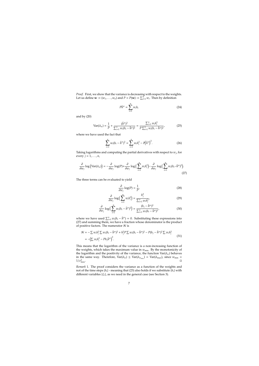*Proof.* First, we show that the variance is decreasing with respect to the weights. Let us define  $\mathbf{w} := (w_1, \dots, w_n)$  and  $P = P(\mathbf{w}) := \sum_{i=1}^n w_i$ . Then by definition

$$
P\bar{h}^w = \sum_{i=1}^n w_i h_i \tag{24}
$$

and by (20)

$$
Var(\hat{\alpha}_w) = \frac{1}{P} + \frac{(\bar{h}^w)^2}{\sum_{i=1}^n w_i (h_i - \bar{h}^w)^2} = \frac{\sum_{i=1}^n w_i h_i^2}{P \sum_{i=1}^n w_i (h_i - \bar{h}^w)^2},
$$
(25)

where we have used the fact that

$$
\sum_{i=1}^{n} w_i (h_i - \bar{h}^w)^2 = \sum_{i=1}^{n} w_i h_i^2 - P(\bar{h}^w)^2.
$$
 (26)

Taking logarithms and computing the partial derivatives with respect to  $w_j$ , for every  $j = 1, \ldots, n$ ,

$$
\frac{\partial}{\partial w_j} \log \left( \text{Var}(\hat{\alpha}_w) \right) = -\frac{\partial}{\partial w_j} \log(P) + \frac{\partial}{\partial w_j} \log \left( \sum_{i=1}^n w_i h_i^2 \right) - \frac{\partial}{\partial w_j} \log \left( \sum_{i=1}^n w_i (h_i - \bar{h}^w)^2 \right).
$$
\n(27)

The three terms can be evaluated to yield

$$
\frac{\partial}{\partial w_j} \log(P) = \frac{1}{P'},\tag{28}
$$

$$
\frac{\partial}{\partial w_j} \log \left( \sum_{i=1}^n w_i h_i^2 \right) = \frac{h_j^2}{\sum_{i=1}^n w_i h_i^2},\tag{29}
$$

$$
\frac{\partial}{\partial w_j} \log \Big( \sum_{i=1}^n w_i (h_i - \bar{h}^w)^2 \Big) = \frac{(h_j - \bar{h}^w)^2}{\sum_{i=1}^n w_i (h_i - \bar{h}^w)^2},
$$
(30)

where we have used  $\sum_{i=1}^{n} w_i(h_i - \bar{h}^w) = 0$ . Substituting these expressions into (27) and summing them, we have a fraction whose denominator is the product of positive factors. The numerator  $N$  is

$$
N = -\sum w_i h_i^2 \sum w_i (h_i - \bar{h}^w)^2 + h_j^2 P \sum w_i (h_i - \bar{h}^w)^2 - P(h_j - \bar{h}^w)^2 \sum w_i h_i^2
$$
  
= -(\sum w\_i h\_i^2 - Ph\_j \bar{h}^w)^2. (31)

This means that the logarithm of the variance is a non-increasing function of the weights, which takes the maximum value in  $w_{\text{min}}$ . By the monotonicity of the logarithm and the positivity of the variance, the function Var( $\hat{\alpha}_w$ ) behaves in the same way. Therefore,  $Var(\hat{\alpha}_w) \leq Var(\hat{\alpha}_{w_{min}}) = Var(\hat{\alpha}_{max})$ , since  $w_{min} =$  $1/\sigma_{\text{max}}^2$ .  $2$  max.  $\square$ 

*Remark* 1*.* The proof considers the variance as a function of the weights and not of the time steps {*hi*} - meaning that (23) also holds if we substitute {*hi*} with different variables {ξ*i*}, as we need in the general case (see Section 3).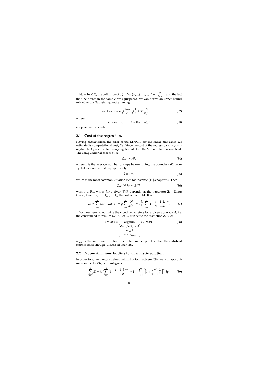Now, by (23), the definition of  $\sigma_{\max}^2$ ,  $Var(\hat{\alpha}_{\max}) = v_{\max} \left[ \frac{1}{n} + \frac{\bar{h}^2}{\sum (h_i - h_i)^2} \right]$  $\frac{\bar{h}^2}{\sum (h_i - \bar{h})^2}$  and the fact that the points in the sample are equispaced, we can derive an upper bound related to the Gaussian quantile *q* for  $\epsilon_R$ 

$$
\epsilon_{\rm R} \le \epsilon_{\rm max} := q \sqrt{\frac{v_{\rm max}}{N}} \sqrt{\frac{1}{n} + 3l^2 \frac{n-1}{n(n+1)}},\tag{32}
$$

where

$$
L := h_n - h_1, \qquad l := (h_n + h_1)/L \tag{33}
$$

are positive constants.

#### **2.1 Cost of the regression.**

Having characterized the error of the LTMCR (for the linear bias case), we estimate its computational cost,  $C_R$ . Since the cost of the regression analysis is negligible, *C*<sup>R</sup> is equal to the aggregate cost of all the MC simulations involved. The computational cost of (4) is

$$
C_{\rm MC} \propto N\bar{k},\tag{34}
$$

where  $\bar{k}$  is the average number of steps before hitting the boundary  $\partial\Omega$  from **x**0. Let us assume that asymptotically

$$
\bar{k} \propto 1/h,\tag{35}
$$

which is the most common situation (see for instance [14], chapter 5). Then,

$$
C_{\rm MC}(N,h) = \rho N/h,\tag{36}
$$

with  $\rho \in \mathbb{R}_+$ , which for a given BVP depends on the integrator  $\Xi_h$ . Using  $h_i = h_1 + (h_n - h_1)(i - 1)/(n - 1)$ , the cost of the LTMCR is

$$
C_{\rm R} = \sum_{i=1}^{n} C_{\rm MC}(N, h_i(n)) = \rho \sum_{i=1}^{n} \frac{N}{h_i(n)} = \rho \frac{N}{h_1} \sum_{i=1}^{n} \left(1 + \frac{i-1}{n-1} \frac{L}{h_1}\right)^{-1}.
$$
 (37)

We now seek to optimize the cloud parameters for a given accuracy *A*, i.e. the constrained minimum ( $N^*$ ,  $n^*$ ) of  $C_R$  subject to the restriction  $\epsilon_R \leq A$ :

$$
(N^*, n^*) = \underset{n \geq 2}{\arg \min} C_R(N, n). \tag{38}
$$

$$
\begin{cases} \epsilon_{\max}(N, n) \leq A \\ n \geq 2 \\ N \geq N_{\min} \end{cases}
$$

*N*min is the minimum number of simulations per point so that the statistical error is small enough (discussed later on).

#### **2.2 Approximations leading to an analytic solution.**

In order to solve the constrained minimization problem (38), we will approximate sums like (37) with integrals:

$$
\sum_{i=1}^{n} \xi_i^t = h_1^{-r} \sum_{i=1}^{n} \left[ 1 + \frac{i-1}{n-1} \frac{L}{h_1} \right]^{-r} \approx 1 + \int_{y=1}^{y=n} \left[ 1 + \frac{y-1}{n-1} \frac{L}{h_1} \right]^{-r} dy. \tag{39}
$$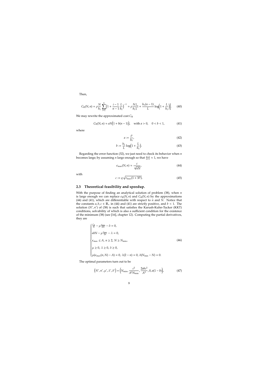Then,

$$
C_{R}(N,n) = \rho \frac{N}{h_1} \sum_{i=1}^{n} \left(1 + \frac{i-1}{n-1} \frac{L}{h_1}\right)^{-1} \approx \rho \frac{N}{h_1} \left[1 + \frac{h_1(n-1)}{L} \log\left(1 + \frac{L}{h_1}\right)\right].
$$
 (40)

We may rewrite the approximated cost *C*<sup>R</sup>

$$
C_R(N, n) \approx aN(1 + b(n - 1)), \quad \text{with } a > 0, \quad 0 < b < 1,
$$
 (41)

where

$$
a := \frac{\rho}{h_1},\tag{42}
$$

$$
b := \frac{h_1}{L} \log \left( 1 + \frac{L}{h_1} \right). \tag{43}
$$

Regarding the error function (32), we just need to check its behavior when *n* becomes large; by assuming *n* large enough so that  $\frac{n-1}{n+1}$  ≈ 1, we have

$$
\epsilon_{\max}(N,n) \approx \frac{c}{\sqrt{nN}},\tag{44}
$$

with

$$
c := q \sqrt{v_{\text{max}}(1 + 3l^2)}.
$$
\n
$$
(45)
$$

#### **2.3 Theoretical feasibility and speedup.**

With the purpose of finding an analytical solution of problem (38), when *n* is large enough we can replace  $\varepsilon_R(N, n)$  and  $C_R(N, n)$  by the approximations (44) and (41), which are differentiable with respect to *n* and *N*. Notice that the constants  $a, b, c \in \mathbb{R}_+$  in (44) and (41) are strictly positive, and  $b < 1$ . The solution (*N*<sup>\*</sup>, *n*<sup>\*</sup>) of (38) is such that satisfies the Karush-Kuhn-Tucker (KKT) conditions, solvability of which is also a sufficient condition for the existence of the minimum (38) (see [16], chapter 12). Computing the partial derivatives, they are

$$
\begin{cases}\n\frac{C_{\rm R}}{N} - \mu \frac{\epsilon_{\rm max}}{2N} - \delta = 0, \\
abN - \mu \frac{\epsilon_{\rm max}}{2n} - \lambda = 0, \\
\epsilon_{\rm max} \le A, n \ge 2, N \ge N_{\rm min}, \\
\mu \ge 0, \ \lambda \ge 0, \ \delta \ge 0, \\
\mu(\epsilon_{\rm max}(n, N) - A) = 0, \ \lambda(2 - n) = 0, \ \delta(N_{\rm min} - N) = 0.\n\end{cases}
$$
\n(46)

The optimal parameters turn out to be

$$
(N^*, n^*, \mu^*, \lambda^*, \delta^*) = (N_{\min}, \frac{c^2}{A^2 N_{\min}}, \frac{2abc^2}{A^3}, 0, a(1-b)),
$$
 (47)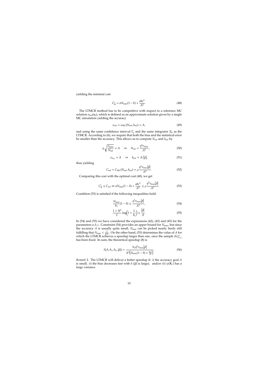yielding the minimal cost

$$
C_R^* = aN_{\min}(1-b) + \frac{abc^2}{A^2}.
$$
 (48)

The LTMCR method has to be competitive with respect to a reference MC solution  $u_{\text{ref}}(\mathbf{x}_0)$ , which is defined as an approximate solution given by a single MC simulation yielding the accuracy

$$
\epsilon_{\rm ref} = \epsilon_{\rm MC}(N_{\rm ref}, h_{\rm ref}) = A,\tag{49}
$$

and using the same confidence interval Γ*<sup>q</sup>* and the same integrator Ξ*<sup>h</sup>* as the LTMCR. According to (6), we require that both the bias and the statistical error be smaller than the accuracy. This allows us to compute *N*ref and *h*ref by

$$
q\sqrt{\frac{v_{\text{max}}}{N_{\text{ref}}}} \approx A \quad \Rightarrow \quad N_{\text{ref}} \approx \frac{q^2 v_{\text{max}}}{A^2},\tag{50}
$$

$$
\epsilon_{h_{\rm ref}} = A \quad \Rightarrow \quad h_{\rm ref} \approx A / |\beta|,\tag{51}
$$

thus yielding

$$
C_{\rm ref} = C_{\rm MC}(N_{\rm ref}, h_{\rm ref}) = \rho \frac{q^2 v_{\rm max} |\beta|}{A^3}.
$$
 (52)

Comparing this cost with the optimal cost (48), we get

$$
C_{\rm R}^* \le C_{\rm ref} \Leftrightarrow aN_{\rm min}(1-b) + \frac{abc^2}{A^2} \le \rho \frac{q^2 v_{\rm max} |\beta|}{A^3}.
$$
 (53)

Condition (53) is satisfied if the following inequalities hold:

$$
\frac{N_{\min}}{h_1}(1-b) \le \frac{q^2 v_{\max} |\beta|}{A^3},\tag{54}
$$

$$
\frac{1+3l^2}{L}\log\left(1+\frac{L}{h_1}\right) \le \frac{|\beta|}{A}.\tag{55}
$$

In (54) and (55) we have considered the expressions (42), (43) and (45) for the parameters *a*, *b*, *c*. Constraint (54) provides an upper bound for  $N_{\text{min}}$ , but since the accuracy  $A$  is usually quite small,  $N_{\text{min}}$  can be picked nearly freely still fulfilling that  $N_{\text{min}} < \frac{c^2}{2A^2}$ . On the other hand, (55) determines the value of *A* for which the LTMCR achieves a speedup larger than one, once the sample  $\{h_i\}_{i=1}^n$ has been fixed. In sum, the theoretical speedup (8) is

$$
S(A, h_1, h_n, |\beta|) = \frac{h_1 q^2 v_{\text{max}} |\beta|}{A^3 (N_{\text{min}}(1 - b) + \frac{bc^2}{A^2})}.
$$
\n(56)

*Remark* 2*.* The LTMCR will deliver a better speedup if: *i*) the accuracy goal *A* is small; *ii*) the bias decreases fast with *h* ( $\beta$ | is large); and/or *iii*)  $\phi(\mathbf{X}_\tau)$  has a large variance.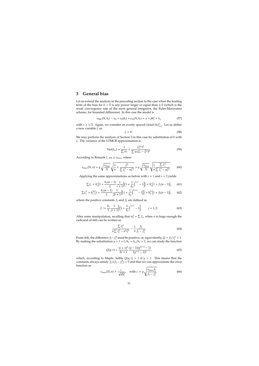### **3 General bias**

Let us extend the analysis in the preceding section to the case when the leading term of the bias for  $h < \bar{h}$  is any power larger or equal than 1/2 (which is the weak convergence rate of the most general integrator, the Euler-Maruyama scheme, for bounded diffusions). In this case the model is

$$
\epsilon_{\rm MC}(N, h_i) \sim u_0 + \epsilon_h(h_i) + \epsilon_N(N, h_i) = \alpha + \beta h_i^r + \delta_i,
$$
\n(57)

with  $r \geq 1/2$ . Again, we consider an evenly spaced cloud  $\{h_i\}_{i=1}^n$ . Let us define a new variable ξ as

$$
\xi = h^r. \tag{58}
$$

We may perform the analysis of Section 2 in this case by substitution of *h* with ξ. The variance of the LTMCR approximation is

$$
\text{Var}(\hat{\alpha}_w) = \frac{1}{\sum w_i} + \frac{(\bar{\xi}^w)^2}{\sum w_i(\xi_i - \bar{\xi}^w)^2}.
$$
 (59)

According to Remark 1,  $\epsilon_R \leq \epsilon_{\text{max}}$ , where

$$
\epsilon_{\max}(N,n) \approx q \sqrt{\frac{v_{\max}}{N}} \sqrt{\frac{1}{n} + \frac{\bar{\xi}^2}{\sum \bar{\xi}_i^2 - n\bar{\xi}^2}} = q \sqrt{\frac{v_{\max}}{N}} \sqrt{\frac{1}{n} \frac{\sum \bar{\xi}_i^2}{\sum \bar{\xi}_i^2 - n\bar{\xi}^2}}.
$$
 (60)

Applying the same approximations as before with  $r = 1$  and  $r = 2$  yields

$$
\sum \xi_i \approx h'_1 \Big\{ 1 + \frac{h_1(n-1)}{L} \frac{1}{r+1} \Big[ \Big( 1 + \frac{L}{h_1} \Big)^{r+1} - 1 \Big] \Big\} = h'_1 \Big\{ 1 + f_1(n-1) \Big\},\tag{61}
$$

$$
\sum \xi_i^2 \approx h_1^{2r} \Big\{ 1 + \frac{h_1(n-1)}{L} \frac{1}{2r+1} \Big[ \Big( 1 + \frac{L}{h_1} \Big)^{2r+1} - 1 \Big] \Big\} = h_1^{2r} \Big\{ 1 + f_2(n-1) \Big\},\tag{62}
$$

where the positive constants  $f_1$  and  $f_2$  are defined as

$$
f_j := \frac{h_1}{L} \frac{1}{jr + 1} \Big[ \Big( 1 + \frac{L}{h_1} \Big)^{jr + 1} - 1 \Big], \qquad j = 1, 2. \tag{63}
$$

After some manipulation, recalling that  $n\bar{\xi} = \sum \xi_i$ , when *n* is large enough the radicand of (60) can be written as

$$
\frac{\sum \xi_i^2}{n \sum \xi_i^2 - n^2 \bar{\xi}^2} \sim \frac{1}{n} \frac{f_2}{f_2 - f_1^2}.
$$
\n(64)

From (64), the difference  $f_2 - f_1^2$  must be positive, or, equivalently,  $Q = f_2/f_1^2 > 1$ . By making the substitution  $y = 1 + L/h_1 = h_n/h_1 > 1$ , we can study the function

$$
Q(y,r) = \frac{(r+1)^2}{2r+1} \frac{(y-1)(y^{2r+1}-1)}{(y^{r+1}-1)^2},
$$
\n(65)

which, according to Maple, fulfils  $Q(y, r) > 1$  if  $y > 1$ . This means that the constants always satisfy  $\hat{f}_2/(f_2 - f_1^2) > 0$  and that we can approximate the error function as

$$
\epsilon_{\max}(N,n) \approx \frac{c}{\sqrt{nN}}, \quad \text{with } c := q \sqrt{\frac{v_{\max}f_2}{f_2 - f_1^2}}.
$$
 (66)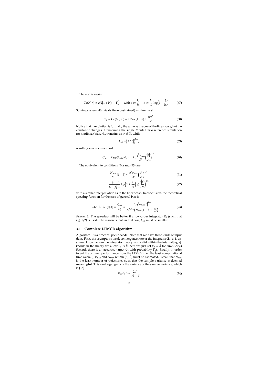The cost is again

$$
C_R(N, n) \approx aN(1 + b(n-1)),
$$
 with  $a := \frac{k\rho}{h_1}$   $b := \frac{h_1}{L}\log(1 + \frac{L}{h_1}).$  (67)

Solving system (46) yields the (constrained) minimal cost

$$
C_R^* = C_R(N^*, n^*) = aN_{\min}(1 - b) + \frac{abc^2}{A^2}.
$$
 (68)

Notice that the solution is formally the same as the one of the linear case, but the constant *c* changes. Concerning the single Monte Carlo reference simulation for nonlinear bias, *N*ref remains as in (50), while

$$
h_{\rm ref} = \left(A / \left| \beta \right| \right)^{1/r},\tag{69}
$$

resulting in a reference cost

$$
C_{\rm ref} = C_{\rm MC}(h_{\rm ref}, N_{\rm ref}) = k \rho \frac{q^2 v_{\rm max}}{A^2} \left(\frac{|\beta|}{A}\right)^{1/r}.
$$
 (70)

The equivalent to conditions (54) and (55) are

$$
\frac{N_{\min}}{h_1}(1-b) \le \frac{q^2 v_{\max}}{A^2} \left(\frac{|\beta|}{A}\right)^{1/r},\tag{71}
$$

$$
\frac{f_2}{f_2 - f_1^2} \frac{1}{L} \log \left( 1 + \frac{L}{h_1} \right) \le \left( \frac{|\beta|}{A} \right)^{1/r},\tag{72}
$$

with a similar interpretation as in the linear case. In conclusion, the theoretical speedup function for the case of general bias is

$$
S(A, h_1, h_n, |\beta|, r) = \frac{C_{\text{ref}}}{C_{\text{R}}^*} = \frac{h_1 q^2 v_{\text{max}} |\beta|^{1/r}}{A^{2+1/r} (N_{\text{min}}(1-b) + \frac{bc^2}{A^2})}.
$$
(73)

*Remark* 3*.* The speedup will be better if a low-order integrator Ξ*<sup>h</sup>* (such that  $r \geq 1/2$ ) is used. The reason is that, in that case,  $h_{\text{ref}}$  must be smaller.

#### **3.1 Complete LTMCR algorithm.**

Algorithm 1 is a practical pseudocode. Note that we have three kinds of input data. First, the asymptotic weak convergence rate of the integrator Ξ*h*, *r*, is assumed known (from the integrator theory) and valid within the interval [ $h_1$ ,  $\bar{h}$ ]. (While in the theory we allow  $h_n \leq h$ , here we just set  $h_n = h$  for simplicity.) Second, there is an accuracy target (*A* with probability Γ*q*). Finally, in order to get the optimal performance from the LTMCR (i.e. the least computational time overall),  $v_{\text{max}}$  and  $N_{\text{min}}$  within  $[h_1, \bar{h}]$  must be estimated. Recall that  $N_{\text{min}}$ is the least number of trajectories such that the sample variance is deemed meaningful. This can be gauged via the variance of the sample variance, which is [15]

$$
Var(\sigma^2) = \frac{2\sigma^4}{N - 1}.
$$
\n(74)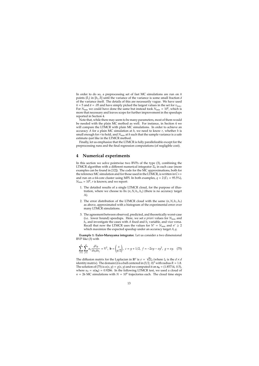In order to do so, a preprocessing set of fast MC simulations are run on  $\tilde{n}$ points  $\{\tilde{h}_j\}$  in  $[h_1, \bar{h}]$  until the variance of the variance is some small fraction  $\tilde{a}$ of the variance itself. The details of this are necessarily vague. We have used  $\tilde{n}$  = 5 and  $\tilde{a}$  = .05 and have simply picked the largest values in the set for  $v_{\text{max}}$ . For  $N_{\min}$  we could have done the same but instead took  $N_{\min} = 10^6$ , which is more that necessary and leaves scope for further improvement in the speedups reported in Section 4.

Note that, while there may seem to be many parameters, most of them would be needed with the plain MC method as well. For instance, in Section 4 we will compare the LTMCR with plain MC simulations. In order to achieve an accuracy *A* for a plain MC simulation at *h*, we need to know *r*, whether *h* is small enough for  $r$  to hold, and  $N_{\text{min}}$  at  $h$  such that the sample variance is a safe estimate–just like in the LTMCR method.

Finally, let us emphasize that the LTMCR is fully parallelizable except for the preprocessing runs and the final regression computations (of negligible cost).

#### **4 Numerical experiments**

In this section we solve pointwise two BVPs of the type (3), combining the LTMCR algorithm with a different numerical integrator Ξ*<sup>h</sup>* in each case (more examples can be found in [12]). The code for the MC approximations, both for the reference MC simulation and for those used in the LTMCR, is written in C++ and run on a 64-core cluster using MPI. In both examples,  $q = 2(\Gamma_2 = 95.5\%)$ ,  $N_{\text{min}} = 10^6$ , *r* is known; and we report:

- 1. The detailed results of a single LTMCR cloud, for the purpose of illustration, where we choose to fix  $(n, N, h_1, h_n)$  (there is no accuracy target A).
- 2. The error distribution of the LTMCR cloud with the same  $(n, N, h_1, h_n)$ as above, approximated with a histogram of the experimental error over many LTMCR simulations.
- 3. The agreement between observed, predicted, and theoretically worst-case (i.e. lower bound) speedups. Here, we set *a priori* values for  $N_{\text{min}}$  and  $h_n$  and investigate the cases with *A* fixed and  $h_1$  variable, and vice versa. Recall that now the LTMCR uses the values for  $N^* = N_{\text{min}}$  and  $n^* \geq 2$ which maximize the expected speedup under an accuracy target *A*, *q*.

**Example 1: Euler-Maruyama integrator.** Let us consider a two dimensional BVP like (3) with

$$
\sum_{i=1}^{d} \sum_{j=1}^{d} a_{ij} \frac{\partial^2 u}{\partial x_i \partial x_j} = \nabla^2, \ \mathbf{b} = \begin{pmatrix} x \\ y/2 \end{pmatrix}, \ c = y + 1/2, \ f = -2xy - xy^2, \ g = xy. \tag{75}
$$

The diffusion matrix for the Laplacian in  $\mathbb{R}^d$  is  $\sigma =$ √  $\overline{2}I_d$  (where  $I_d$  is the  $d \times d$ identity matrix). The domain  $\Omega$  is a ball centered in (3/2, 0)<sup>T</sup> with radius  $R = 1.8$ . The solution of (75) is  $u(x, y) = g(x, y)$  and we computed it on  $x_0 = (1.85714, 0.5)$ , where  $u_0 = u(\mathbf{x}_0) = 0.9286$ . In the following LTMCR test, we used a cloud of  $n = 26$  MC simulations with  $N = 10^6$  trajectories each. The cloud time steps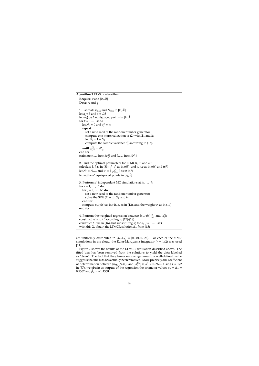#### **Algorithm 1** LTMCR algorithm

```
Require: r and [h_1, \bar{h}]Data: A and q
1. Estimate v_{\text{max}} and N_{\text{min}} in [h_1, \bar{h}]:
let \tilde{n} \approx 5 and \tilde{a} \approx .05let \{\tilde{h}_k\} be \tilde{n} equispaced points in [h_1,\bar{h}]for k = 1, \ldots, \tilde{n} do
    let N<sup>k</sup> = 0 and \tilde{\sigma}_k^2 = \inftyrepeat
       set a new seed of the random number generator
      compute one more realization of (2) with \Xi_h and h_klet N_k = 1 + N_kcompute the sample variance \tilde{\sigma}_k^2 according to (12).
    until \frac{2\tilde{\sigma}_k^4}{N_k-1} < \tilde{a}\tilde{\sigma}_k^2end for
estimate v_{\text{max}} from \{\tilde{\sigma}_k^2\} and N_{\text{min}} from \{N_k\}2. Find the optimal parameters for LTMCR, n
∗ and N∗
:
```

```
calculate L, l as in (33), f1, f2 as in (63), and a, b, c as in (66) and (67)
let N^* = N_{\text{min}} and n^* = \lceil \frac{c^2}{A^2 N} \rceil\frac{c^2}{A^2 N_{\min}}] as in (47)
let \{h_i\} be n^* equispaced points in [h_1, \bar{h}]
```

```
3. Perform n<sup>∗</sup> independent MC simulations at h<sub>1</sub>, . . . , h̃:
for i = 1, . . . , n
∗ do
  for j = 1, ..., N^* do
     set a new seed of the random number generator
     solve the SDE (2) with \Xi_h and h_iend for
  compute u_{MC}(h_i) as in (4), \sigma_i as in (12), and the weight w_i as in (14)
end for
```
**4.** Perform the weighted regression between  $\{u_{MC}(h_i)\}_{i=1}^n$  and  $\{h_i^r\}$ : construct *W* and *U* according to (17)-(18) construct *X* like in (16), but substituting  $h_i^r$  for  $h_i$  ( $i = 1, ..., n^*$ ) with this *X*, obtain the LTMCR solution  $\hat{\alpha}_w$  from (15)

are uniformly distributed in  $[h_1, h_{26}] = [0.001, 0.026]$ . For each of the *n* MC simulations in the cloud, the Euler-Maruyama integrator  $(r = 1/2)$  was used [11].

Figure 2 shows the results of the LTMCR simulation described above. The fitted bias has been removed from the solutions to yield the data labelled as 'clean'. The fact that they hover on average around a well-defined value suggests that the bias has actually been removed. More precisely, the coefficient of determination between  $\{u_{\text{MC}}(N, h_i)\}\$  and  $\{h_i^{1/2}\}$  $\binom{1}{i}$  is  $R^2 = 0.9976$ . Using  $r = 1/2$ in (57), we obtain as outputs of the regression the estimator values  $u_R = \hat{a}_w =$ 0.9307 and  $\hat{\beta}_w = -1.4568$ .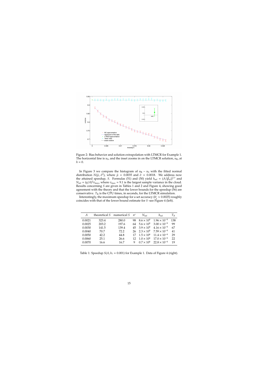

Figure 2: Bias behavior and solution extrapolation with LTMCR for Example 1. The horizontal line is  $u_0$ , and the inset zooms in on the LTMCR solution,  $u_R$ , at  $h = 0$ .

In Figure 3 we compare the histogram of  $u_R - u_0$  with the fitted normal distribution  $N(\hat{\mu}, \hat{\sigma}^2)$ , where  $\hat{\mu} = 0.0035$  and  $\hat{\sigma} = 0.0018$ . We address now the attained speedup, *S*. Formulas (51) and (50) yield  $h_{\text{ref}} = (A/|\hat{\beta}_w|)^{1/r}$  and  $N_{\text{ref}} = (q/A)^2 v_{\text{max}}$ , where  $v_{\text{max}} = 9.1$  is the largest sample variance in the cloud. Results concerning *S* are given in Tables 1 and 2 and Figure 4, showing good agreement with the theory and that the lower bounds for the speedup (56) are conservative.  $T_R$  is the CPU times, in seconds, for the LTMCR simulation.

Interestingly, the maximum speedup for a set accuracy (*h* ∗  $n_1^* \approx 0.0025$ ) roughly coincides with that of the lower bound estimate for *S* -see Figure 4 (left).

| A      | theoretical $S$ numerical $S$ |       | $n^*$ | $N_{\rm ref}$        | $h_{\rm ref}$                                        | $T_R$ |
|--------|-------------------------------|-------|-------|----------------------|------------------------------------------------------|-------|
| 0.0021 | 323.4                         | 280.0 | 98.   | $8.6 \times 10^{6}$  | $1.96 \times 10^{-6}$                                | 138   |
| 0.0025 | 203.2                         | 197.6 | 64    | $5.6 \times 10^{6}$  | $3.00 \times 10^{-6}$                                | 99    |
| 0.0030 | 141.5                         | 139.4 |       | 45 $3.9 \times 10^6$ | $4.16 \times 10^{-6}$                                | 67    |
| 0.0040 | 70.7                          | 72.2  |       | 26 $2.3 \times 10^6$ | $7.59 \times 10^{-6}$                                | 41    |
| 0.0050 | 42.2                          | 44.8  |       |                      | $17 \quad 1.5 \times 10^6 \quad 11.4 \times 10^{-6}$ | 29    |
| 0.0060 | 25.1                          | 26.6  |       |                      | $12 \quad 1.0 \times 10^6 \quad 17.0 \times 10^{-6}$ | 22    |
| 0.0070 | 16.6                          | 16.7  | q     |                      | $0.7 \times 10^6$ $22.8 \times 10^{-6}$              | 19    |

Table 1: Speedup  $S(A, h_1 = 0.001)$  for Example 1. Data of Figure 4 (right).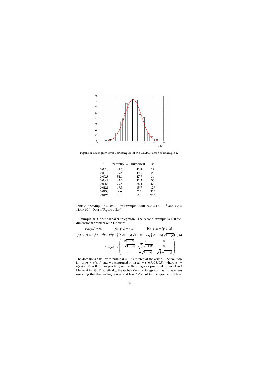

Figure 3: Histogram over 950 samples of the LTMCR error of Example 1.

| h1     | theoretical S | numerical S | $n^*$ |
|--------|---------------|-------------|-------|
| 0.0010 | 42.2          | 42.8        | 17    |
| 0.0019 | 49.6          | 49.6        | 20    |
| 0.0028 | 51.1          | 47.7        | 34    |
| 0.0047 | 44.2          | 41.3        | 33    |
| 0.0084 | 29.8          | 26.4        | 64    |
| 0.0121 | 17.5          | 15.7        | 129   |
| 0.0158 | 9.6           | 7.3         | 315   |
| 0.0195 | 3.4           | 2.6         | 952   |

Table 2: Speedup S(A=.005,  $h_1$ ) for Example 1 with  $N_{\text{ref}} = 1.5 \times 10^6$  and  $h_{\text{ref}} =$  $11.4 \times 10^{-6}$ . Data of Figure 4 (left).

**Example 2: Gobet-Menozzi integrator.** The second example is a threedimensional problem with functions

$$
c(x, y, z) = 0, \t g(x, y, z) = xyz, \t b(x, y, z) = [y, z, x]^T,
$$
  

$$
f(x, y, z) = -y^2 z - z^2 x - x^2 y - \frac{1}{2} \left( z \sqrt{1 + |x|} \sqrt{1 + |z|} + x \sqrt{\frac{3}{4}} \sqrt{1 + |x|} \sqrt{1 + |y|} \right)
$$
(76)  

$$
\sigma(x, y, z) = \begin{pmatrix} \sqrt{1 + |z|} & 0 & 0 \\ \frac{1}{2} \sqrt{1 + |x|} & \sqrt{\frac{3}{4}} \sqrt{1 + |x|} & 0 \\ 0 & \frac{1}{2} \sqrt{1 + |y|} & \sqrt{\frac{3}{4}} \sqrt{1 + |y|} \end{pmatrix}
$$

The domain is a ball with radius  $R = 1.8$  centered at the origin. The solution is  $u(x, y) = g(x, y)$  and we computed it on  $x_0 = (-0.7, 0.3, 0.3)$ , where  $u_0 =$  $u(\mathbf{x}_0) = -0.0630$ . In this problem, we use the integrator proposed by Gobet and Menozzi in [8]. Theoretically, the Gobet-Menozzi integrator has a bias *o*( *h*) (meaning that the leading power is at least 1/2), but in this specific problem,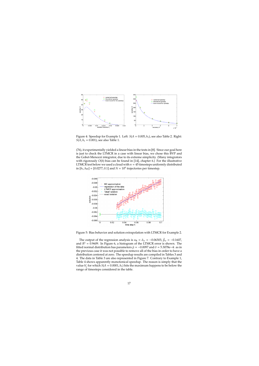

Figure 4: Speedup for Example 1. Left: *S*(*A* = 0.005, *h*1), see also Table 2. Right: *S*(*A*, *h*<sub>1</sub> = 0.001), see also Table 1.

(76), it experimentally yielded a linear bias in the tests in [8]. Since our goal here is just to check the LTMCR in a case with linear bias, we chose this BVP and the Gobet-Menozzi integrator, due to its extreme simplicity. (Many integrators with rigorously *O*(*h*) bias can be found in [14], chapter 6.) For the illustrative LTMCR test below we used a cloud with  $n = 45$  timesteps uniformly distributed in  $[h_1, h_{45}] = [0.0277, 0.1]$  and  $N = 10^6$  trajectories per timestep.



Figure 5: Bias behavior and solution extrapolation with LTMCR for Example 2.

The output of the regression analysis is  $u_R = \hat{\alpha}_w = -0.06303$ ,  $\hat{\beta}_w = -0.1607$ , and  $R^2 = 0.9609$ . In Figure 6, a histogram of the LTMCR error is shown. The fitted normal distribution has parameters  $\hat{\mu} = -0.0097$  and  $\hat{\sigma} = 5.3078e-4$ : as in the previous case it was not possible to remove all of the bias in order to have a distribution centered at zero. The speedup results are compiled in Tables 3 and 4. The data in Table 3 are also represented in Figure 7. Contrary to Example 1, Table 4 shows apparently monotonical speedup. The reason is simply that the value *h* ∗  $\frac{1}{1}$  for which *S*(*A* = 0.0001, *h*<sub>1</sub>) hits the maximum happens to be below the range of timesteps considered in the table.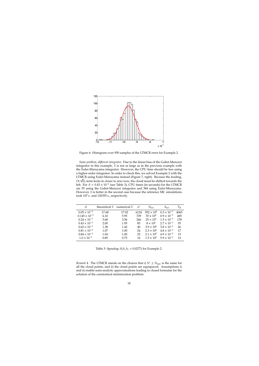

Figure 6: Histogram over 950 samples of the LTMCR error for Example 2.

*Same problem, di*ff*erent integrator*. Due to the linear bias of the Gobet-Menozzi integrator in this example, *S* is not as large as in the previous example with the Euler-Maruyama integrator. However, the CPU time should be less using a higher-order integrator. In order to check this, we solved Example 2 with the LTMCR using Euler-Maruyama instead (Figure 7, right). Because the leading, √ *O*(  $\vee$ *h*), term kicks in closer to zero now, the cloud must be shifted towards the left. For  $A = 0.43 \times 10^{-3}$  (see Table 3), CPU times (in seconds) for the LTMCR are 55 using the Gobet-Menozzi integrator and 384 using Euler-Maruyama. However, *S* is better in the second case because the reference MC simulations took 107 s. and 120355 s., respectively.

| A                      | theoretical S | numerical S | $n^*$ | $N_{\rm ref}$       | $h_{\rm ref}$        | $T_{R}$ |
|------------------------|---------------|-------------|-------|---------------------|----------------------|---------|
| $0.05 \times 10^{-3}$  | 17.68         | 17.02       | 6124  | $592 \times 10^{6}$ | $0.3 \times 10^{-3}$ | 4065    |
| $0.145 \times 10^{-3}$ | 6.10          | 5.95        | 729   | $70 \times 10^6$    | $0.9 \times 10^{-3}$ | 485     |
| $0.24 \times 10^{-3}$  | 3.68          | 3.56        | 266   | $25 \times 10^6$    | $1.5 \times 10^{-3}$ | 178     |
| $0.43 \times 10^{-3}$  | 2.00          | 1.95        | 83    | $8 \times 10^6$     | $2.7 \times 10^{-3}$ | 55      |
| $0.62 \times 10^{-3}$  | 1.38          | 1.42        | 40    | $3.9 \times 10^{6}$ | $3.8 \times 10^{-3}$ | 26      |
| $0.81 \times 10^{-3}$  | 1.07          | 1.00        | 24    | $2.3 \times 10^{6}$ | $4.8 \times 10^{-3}$ | 17      |
| $0.84 \times 10^{-3}$  | 1.04          | 1.00        | 22    | $2.1 \times 10^5$   | $4.9 \times 10^{-3}$ | 15      |
| $1.0 \times 10^{-3}$   | 0.85          | 0.75        | 16    | $1.5 \times 10^{6}$ | $5.9 \times 10^{-3}$ | 12      |

Table 3: Speedup  $S(A, h_1 = 0.0277)$  for Example 2.

*Remark* 4. The LTMCR stands on the choices that i)  $N^* \geq N_{\text{min}}$  is the same for all the cloud points, and ii) the cloud points are equispaced. Assumptions i) and ii) enable semi-analytic approximations leading to closed formulas for the solution of the constrained minimization problem.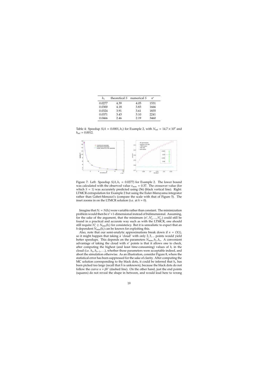| h1     | theoretical S | numerical S | $n^*$ |
|--------|---------------|-------------|-------|
| 0.0277 | 4.39          | 4.05        | 1531  |
| 0.0300 | 4.18          | 3.83        | 1666  |
| 0.0324 | 3.91          | 3.61        | 1835  |
| 0.0371 | 3.43          | 3.10        | 2241  |
| 0.0466 | 2.46          | 2.19        | 3460  |

Table 4: Speedup  $S(A = 0.0001, h_1)$  for Example 2, with  $N_{\text{ref}} = 14.7 \times 10^7$  and  $h_{\text{ref}} = 0.0012$ .



Figure 7: Left: Speedup  $S(A, h_1 = 0.0277)$  for Example 2. The lower bound was calculated with the observed value  $v_{\text{max}} = 0.37$ . The crossover value (for which  $S = 1$ ) was accurately predicted using (56) (black vertical line). Right: LTMCR extrapolation for Example 2 but using the Euler-Maruyama integrator rather than Gobet-Menozzi's (compare the scale with that of Figure 5). The inset zooms in on the LTMCR solution (i.e. at  $h = 0$ ).

Imagine that  $N_i = N(h_i)$  were variable rather than constant. The minimization problem would then be *n* <sup>∗</sup>+1-dimensional instead of bidimensional. Assuming, for the sake of the argument, that the minimum  $(n^*, N^*_1, ..., N^*_{n^*})$  could still be found in a practical and accurate way such as with the LTMCR, one should still require  $N_i^* \ge N_{\min}(h_i)$  for consistency. But it is unrealistic to expect that an *h*-dependent  $N_{\text{min}}(h_i)$  can be known for exploiting this.

Also, note that our semi-analytic approximations break down if  $n = O(1)$ , so it might happen that taking a 'cloud' with only 2, 3, ... points would yield better speedups. This depends on the parameters  $N_{\text{min}}$ ,  $h_1$ ,  $h_n$ . A convenient advantage of taking the cloud with *n* <sup>∗</sup> points is that it allows one to check, after computing the highest (and least time-consuming) values of *h<sup>i</sup>* in the cloud (i.e. *hn*, *hn*−1, . . .), whether those parameters were acceptable indeed, and abort the simulation otherwise. As an illustration, consider Figure 8, where the statistical error has been suppressed for the sake of clarity. After computing the MC solution corresponding to the black dots, it could be inferred that *h<sup>n</sup>* has been picked too large (recall that *h* is unknown), because the black dots do not follow the curve  $u + \beta h^r$  (dashed line). On the other hand, just the end points (squares) do not reveal the shape in between, and would lead here to wrong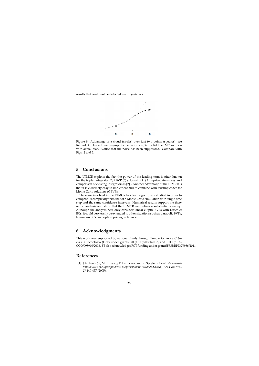results that could not be detected even *a posteriori*.



Figure 8: Advantage of a cloud (circles) over just two points (squares), see Remark 4. Dashed line: asymptotic behavior *u* + β*h r* . Solid line: MC solution with actual bias. Notice that the noise has been suppressed. Compare with Figs. 2 and 5.

### **5 Conclusions**

The LTMCR exploits the fact the power of the leading term is often known for the triplet integrator Ξ*<sup>h</sup>* / BVP (3) / domain Ω. (An up-to-date survey and comparison of existing integrators is [2].) Another advantage of the LTMCR is that it is extremely easy to implement and to combine with existing codes for Monte Carlo solutions of BVPs.

The error involved in the LTMCR has been rigourously studied in order to compare its complexity with that of a Monte Carlo simulation with single time step and the same confidence intervals. Numerical results support the theoretical analysis and show that the LTMCR can deliver a substantial speedup. Although the analysis here only considers linear elliptic BVPs with Dirichlet BCs, it could very easily be extended to other situations such as parabolic BVPs, Neumann BCs, and option pricing in finance.

### **6 Acknowledgments**

This work was supported by national funds through Fundação para a Ciência e a Tecnologia (FCT) under grants UID/CEC/50021/2013, and PTDC/EIA-CCO/098910/2008. FB also acknowledges FCT funding under grant SFRH/BPD/79986/2011.

## **References**

[1] J.A. Acebrón, M.P. Busico, P. Lanucara, and R. Spigler, *Domain decomposition solution of elliptic problems via probabilistic methods*. SIAM J. Sci. Comput., **27** 440-457 (2005).